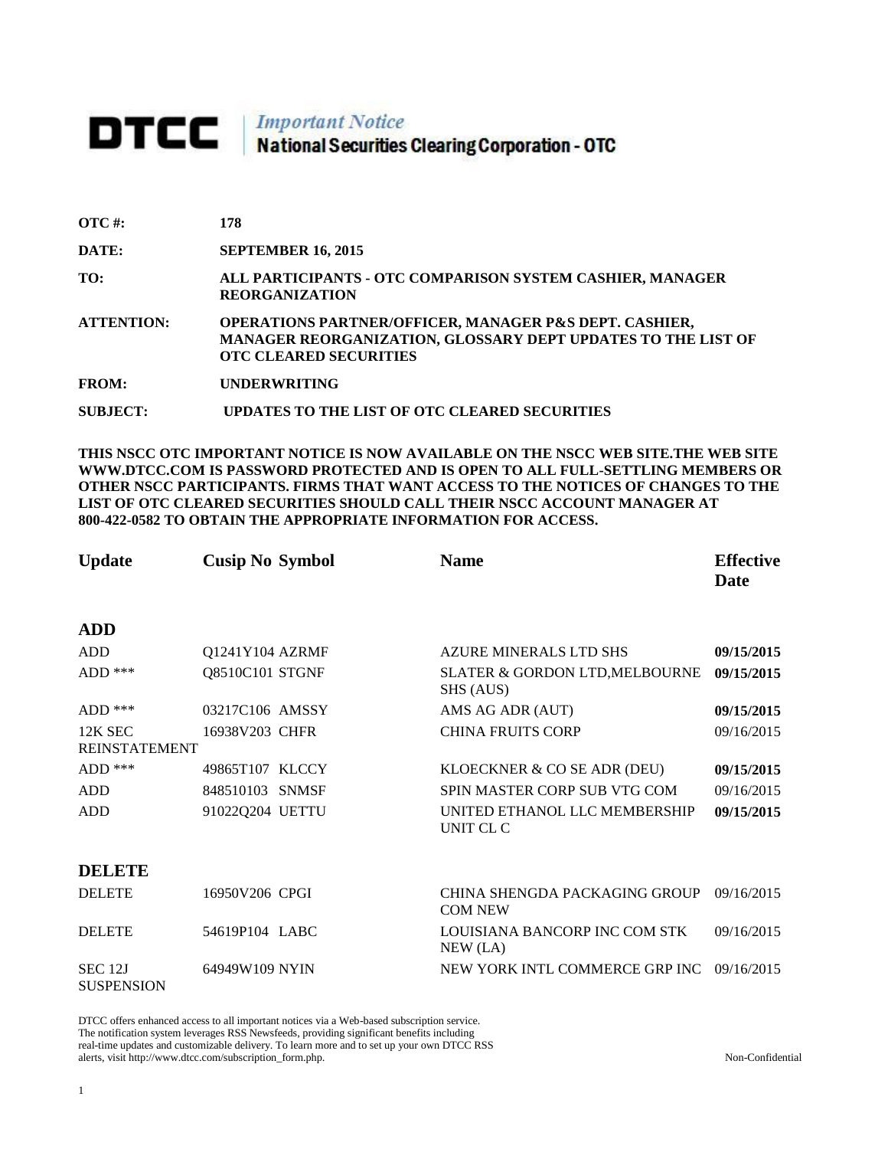# **DTCC** National Securities Clearing Corporation - OTC

| $\overline{OTC}$ #: | 178                                                                                                                                                                |
|---------------------|--------------------------------------------------------------------------------------------------------------------------------------------------------------------|
| DATE:               | <b>SEPTEMBER 16, 2015</b>                                                                                                                                          |
| TO:                 | ALL PARTICIPANTS - OTC COMPARISON SYSTEM CASHIER, MANAGER<br><b>REORGANIZATION</b>                                                                                 |
| <b>ATTENTION:</b>   | <b>OPERATIONS PARTNER/OFFICER, MANAGER P&amp;S DEPT. CASHIER,</b><br>MANAGER REORGANIZATION, GLOSSARY DEPT UPDATES TO THE LIST OF<br><b>OTC CLEARED SECURITIES</b> |
| <b>FROM:</b>        | <b>UNDERWRITING</b>                                                                                                                                                |
| <b>SUBJECT:</b>     | UPDATES TO THE LIST OF OTC CLEARED SECURITIES                                                                                                                      |

**THIS NSCC OTC IMPORTANT NOTICE IS NOW AVAILABLE ON THE NSCC WEB SITE.THE WEB SITE WWW.DTCC.COM IS PASSWORD PROTECTED AND IS OPEN TO ALL FULL-SETTLING MEMBERS OR OTHER NSCC PARTICIPANTS. FIRMS THAT WANT ACCESS TO THE NOTICES OF CHANGES TO THE LIST OF OTC CLEARED SECURITIES SHOULD CALL THEIR NSCC ACCOUNT MANAGER AT 800-422-0582 TO OBTAIN THE APPROPRIATE INFORMATION FOR ACCESS.** 

| <b>Update</b>                       | <b>Cusip No Symbol</b> | <b>Name</b>                                     | <b>Effective</b><br><b>Date</b> |
|-------------------------------------|------------------------|-------------------------------------------------|---------------------------------|
| <b>ADD</b>                          |                        |                                                 |                                 |
| <b>ADD</b>                          | Q1241Y104 AZRMF        | <b>AZURE MINERALS LTD SHS</b>                   | 09/15/2015                      |
| $ADD$ ***                           | Q8510C101 STGNF        | SLATER & GORDON LTD, MELBOURNE<br>SHS (AUS)     | 09/15/2015                      |
| $ADD$ ***                           | 03217C106 AMSSY        | AMS AG ADR (AUT)                                | 09/15/2015                      |
| 12K SEC<br><b>REINSTATEMENT</b>     | 16938V203 CHFR         | <b>CHINA FRUITS CORP</b>                        | 09/16/2015                      |
| $ADD$ ***                           | 49865T107 KLCCY        | KLOECKNER & CO SE ADR (DEU)                     | 09/15/2015                      |
| <b>ADD</b>                          | 848510103 SNMSF        | SPIN MASTER CORP SUB VTG COM                    | 09/16/2015                      |
| <b>ADD</b>                          | 91022Q204 UETTU        | UNITED ETHANOL LLC MEMBERSHIP<br>UNIT CL C      | 09/15/2015                      |
| <b>DELETE</b>                       |                        |                                                 |                                 |
| <b>DELETE</b>                       | 16950V206 CPGI         | CHINA SHENGDA PACKAGING GROUP<br><b>COM NEW</b> | 09/16/2015                      |
| <b>DELETE</b>                       | 54619P104 LABC         | LOUISIANA BANCORP INC COM STK<br>NEW (LA)       | 09/16/2015                      |
| <b>SEC 12J</b><br><b>SUSPENSION</b> | 64949W109 NYIN         | NEW YORK INTL COMMERCE GRP INC                  | 09/16/2015                      |

DTCC offers enhanced access to all important notices via a Web-based subscription service. The notification system leverages RSS Newsfeeds, providing significant benefits including real-time updates and customizable delivery. To learn more and to set up your own DTCC RSS alerts, visit http://www.dtcc.com/subscription\_form.php. Non-Confidential